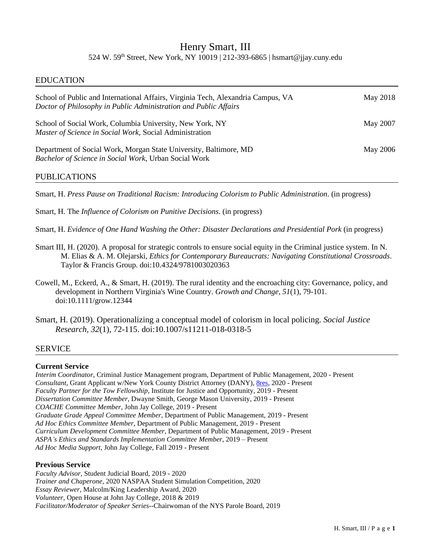# Henry Smart, III 524 W. 59th Street, New York, NY 10019 | 212-393-6865 | hsmart@jjay.cuny.edu

### EDUCATION

| School of Public and International Affairs, Virginia Tech, Alexandria Campus, VA<br>Doctor of Philosophy in Public Administration and Public Affairs | May 2018 |
|------------------------------------------------------------------------------------------------------------------------------------------------------|----------|
| School of Social Work, Columbia University, New York, NY<br>Master of Science in Social Work, Social Administration                                  | May 2007 |
| Department of Social Work, Morgan State University, Baltimore, MD<br>Bachelor of Science in Social Work, Urban Social Work                           | May 2006 |

# PUBLICATIONS

٦

Smart, H. *Press Pause on Traditional Racism: Introducing Colorism to Public Administration*. (in progress)

Smart, H. The *Influence of Colorism on Punitive Decisions*. (in progress)

Smart, H. *Evidence of One Hand Washing the Other: Disaster Declarations and Presidential Pork* (in progress)

- Smart III, H. (2020). A proposal for strategic controls to ensure social equity in the Criminal justice system. In N. M. Elias & A. M. Olejarski, *Ethics for Contemporary Bureaucrats: Navigating Constitutional Crossroads*. Taylor & Francis Group. doi:10.4324/9781003020363
- Cowell, M., Eckerd, A., & Smart, H. (2019). The rural identity and the encroaching city: Governance, policy, and development in Northern Virginia's Wine Country. *Growth and Change, 51*(1), 79-101. doi:10.1111/grow.12344
- Smart, H. (2019). Operationalizing a conceptual model of colorism in local policing. *Social Justice Research, 32*(1), 72-115. doi:10.1007/s11211-018-0318-5

### SERVICE

Ī

#### **Current Service**

*Interim Coordinator*, Criminal Justice Management program, Department of Public Management, 2020 - Present *Consultant*, Grant Applicant w/New York County District Attorney (DANY), [8res,](https://www.8res.org/) 2020 - Present *Faculty Partner for the Tow Fellowship*, Institute for Justice and Opportunity, 2019 - Present *Dissertation Committee Member*, Dwayne Smith, George Mason University, 2019 - Present *COACHE Committee Member*, John Jay College, 2019 - Present *Graduate Grade Appeal Committee Member*, Department of Public Management, 2019 - Present *Ad Hoc Ethics Committee Member*, Department of Public Management, 2019 - Present *Curriculum Development Committee Member*, Department of Public Management, 2019 - Present *ASPA's Ethics and Standards Implementation Committee Member,* 2019 – Present *Ad Hoc Media Support*, John Jay College, Fall 2019 - Present

#### **Previous Service**

*Faculty Advisor*, Student Judicial Board, 2019 - 2020 *Trainer and Chaperone*, 2020 NASPAA Student Simulation Competition, 2020 *Essay Reviewer*, Malcolm/King Leadership Award, 2020 *Volunteer*, Open House at John Jay College, 2018 & 2019 *Facilitator/Moderator of Speaker Series*--Chairwoman of the NYS Parole Board, 2019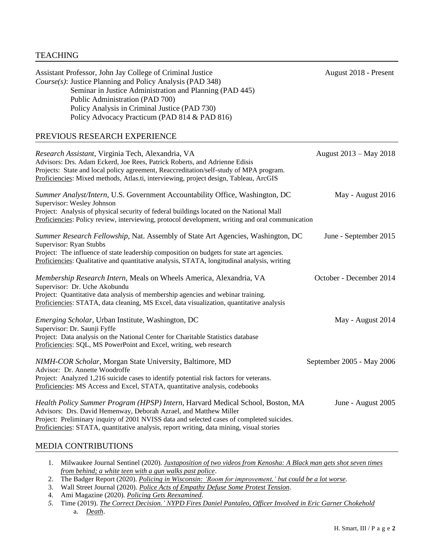| Assistant Professor, John Jay College of Criminal Justice<br>Course(s): Justice Planning and Policy Analysis (PAD 348)<br>Seminar in Justice Administration and Planning (PAD 445)<br>Public Administration (PAD 700)<br>Policy Analysis in Criminal Justice (PAD 730)<br>Policy Advocacy Practicum (PAD 814 & PAD 816)                      | August 2018 - Present     |
|----------------------------------------------------------------------------------------------------------------------------------------------------------------------------------------------------------------------------------------------------------------------------------------------------------------------------------------------|---------------------------|
| PREVIOUS RESEARCH EXPERIENCE                                                                                                                                                                                                                                                                                                                 |                           |
| Research Assistant, Virginia Tech, Alexandria, VA<br>Advisors: Drs. Adam Eckerd, Joe Rees, Patrick Roberts, and Adrienne Edisis<br>Projects: State and local policy agreement, Reaccreditation/self-study of MPA program.<br>Proficiencies: Mixed methods, Atlas.ti, interviewing, project design, Tableau, ArcGIS                           | August 2013 – May 2018    |
| Summer Analyst/Intern, U.S. Government Accountability Office, Washington, DC<br>Supervisor: Wesley Johnson<br>Project: Analysis of physical security of federal buildings located on the National Mall<br>Proficiencies: Policy review, interviewing, protocol development, writing and oral communication                                   | May - August 2016         |
| Summer Research Fellowship, Nat. Assembly of State Art Agencies, Washington, DC<br>Supervisor: Ryan Stubbs<br>Project: The influence of state leadership composition on budgets for state art agencies.<br>Proficiencies: Qualitative and quantitative analysis, STATA, longitudinal analysis, writing                                       | June - September 2015     |
| Membership Research Intern, Meals on Wheels America, Alexandria, VA<br>Supervisor: Dr. Uche Akobundu<br>Project: Quantitative data analysis of membership agencies and webinar training.<br>Proficiencies: STATA, data cleaning, MS Excel, data visualization, quantitative analysis                                                         | October - December 2014   |
| Emerging Scholar, Urban Institute, Washington, DC<br>Supervisor: Dr. Saunji Fyffe<br>Project: Data analysis on the National Center for Charitable Statistics database<br>Proficiencies: SQL, MS PowerPoint and Excel, writing, web research                                                                                                  | May - August 2014         |
| NIMH-COR Scholar, Morgan State University, Baltimore, MD<br>Advisor: Dr. Annette Woodroffe<br>Project: Analyzed 1,216 suicide cases to identify potential risk factors for veterans.<br>Proficiencies: MS Access and Excel, STATA, quantitative analysis, codebooks                                                                          | September 2005 - May 2006 |
| Health Policy Summer Program (HPSP) Intern, Harvard Medical School, Boston, MA<br>Advisors: Drs. David Hemenway, Deborah Azrael, and Matthew Miller<br>Project: Preliminary inquiry of 2001 NVISS data and selected cases of completed suicides.<br>Proficiencies: STATA, quantitative analysis, report writing, data mining, visual stories | June - August 2005        |
| MEDIA CONTRIBUTIONS                                                                                                                                                                                                                                                                                                                          |                           |

- 1. Milwaukee Journal Sentinel (2020). *[Juxtaposition of two videos from Kenosha: A Black man gets shot seven times](https://thebadgerproject.org/2020/07/15/policing-in-wisconsin-room-for-improvement-but-could-be-a-lot-worse/)  [from behind; a white teen with a gun walks past police](https://thebadgerproject.org/2020/07/15/policing-in-wisconsin-room-for-improvement-but-could-be-a-lot-worse/)*.
- 2. The Badger Report (2020). *[Policing in Wisconsin: 'Room for improvement,' but could be a lot worse.](https://thebadgerproject.org/2020/07/15/policing-in-wisconsin-room-for-improvement-but-could-be-a-lot-worse/)*
- 3. Wall Street Journal (2020). *[Police Acts of Empathy Defuse](https://www.wsj.com/articles/police-acts-of-empathy-defuse-some-protest-tension-11591111274) Some Protest Tension*.
- 4. Ami Magazine (2020). *[Policing Gets Reexamined](https://cuny907-my.sharepoint.com/personal/richard_relkin40_login_cuny_edu/_layouts/15/onedrive.aspx?id=%2Fpersonal%2Frichard%5Frelkin40%5Flogin%5Fcuny%5Fedu%2FDocuments%2FShared%20Docs%2FAMI%20Magazine%2C%20June%2010%2C%202020%20%2D%20Closer%20Look%20471%2Epdf&parent=%2Fpersonal%2Frichard%5Frelkin40%5Flogin%5Fcuny%5Fedu%2FDocuments%2FShared%20Docs&originalPath=aHR0cHM6Ly9jdW55OTA3LW15LnNoYXJlcG9pbnQuY29tLzpiOi9nL3BlcnNvbmFsL3JpY2hhcmRfcmVsa2luNDBfbG9naW5fY3VueV9lZHUvRVFvRE9RWlI2RmhCcnFRaEhqUHc4VklCVmpuLW1BSWNFRWwzaXFhOGpVbWhSdz9ydGltZT04NTVQWmx4WTJFZw)*.
- *5.* Time (2019). *[The Correct Decision.' NYPD Fires Daniel Pantaleo, Officer Involved in Eric Garner Chokehold](https://time.com/5655525/eric-garner-daniel-pantaleo-fired-decision)*  a. *[Death](https://time.com/5655525/eric-garner-daniel-pantaleo-fired-decision)*.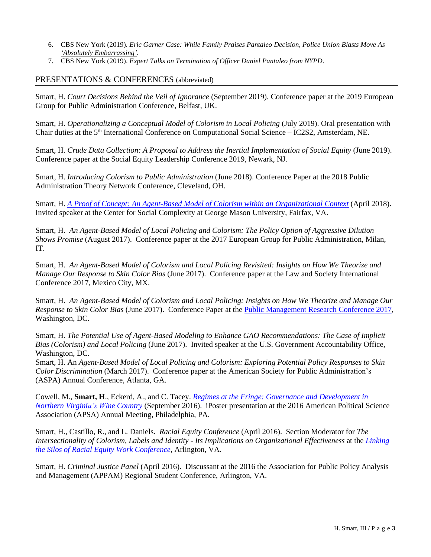- 6. CBS New York (2019). *[Eric Garner Case: While Family Praises Pantaleo](https://newyork.cbslocal.com/2019/08/19/eric-garner-aftermath-family-pantaleo-police-union/) Decision, Police Union Blasts Move As ['Absolutely Embarrassing'](https://newyork.cbslocal.com/2019/08/19/eric-garner-aftermath-family-pantaleo-police-union/)*.
- 7. CBS New York (2019). *[Expert Talks on Termination of Officer Daniel Pantaleo from NYPD](https://youtu.be/6W9wLeTcbis)*.

## PRESENTATIONS & CONFERENCES (abbreviated)

Ī

Smart, H. *Court Decisions Behind the Veil of Ignorance* (September 2019). Conference paper at the 2019 European Group for Public Administration Conference, Belfast, UK.

Smart, H. *Operationalizing a Conceptual Model of Colorism in Local Policing* (July 2019). Oral presentation with Chair duties at the 5th International Conference on Computational Social Science – IC2S2, Amsterdam, NE.

Smart, H. *Crude Data Collection: A Proposal to Address the Inertial Implementation of Social Equity* (June 2019). Conference paper at the Social Equity Leadership Conference 2019, Newark, NJ.

Smart, H. *Introducing Colorism to Public Administration* (June 2018). Conference Paper at the 2018 Public Administration Theory Network Conference, Cleveland, OH.

Smart, H. *[A Proof of Concept: An Agent-Based Model of Colorism within an Organizational Context](https://www.youtube.com/watch?v=-jNYo-pBQGQ)* (April 2018). Invited speaker at the Center for Social Complexity at George Mason University, Fairfax, VA.

Smart, H. *An Agent-Based Model of Local Policing and Colorism: The Policy Option of Aggressive Dilution Shows Promise* (August 2017). Conference paper at the 2017 European Group for Public Administration, Milan, IT.

Smart, H. *An Agent-Based Model of Colorism and Local Policing Revisited: Insights on How We Theorize and Manage Our Response to Skin Color Bias* (June 2017). Conference paper at the Law and Society International Conference 2017, Mexico City, MX.

Smart, H. *An Agent-Based Model of Colorism and Local Policing: Insights on How We Theorize and Manage Our Response to Skin Color Bias* (June 2017). Conference Paper at the [Public Management Research](https://www.pmrc2017.com/concurrent-panels-list-2) Conference 2017, Washington, DC.

Smart, H. *The Potential Use of Agent-Based Modeling to Enhance GAO Recommendations: The Case of Implicit Bias (Colorism) and Local Policing* (June 2017). Invited speaker at the U.S. Government Accountability Office, Washington, DC.

Smart, H. An *Agent-Based Model of Local Policing and Colorism: Exploring Potential Policy Responses to Skin Color Discrimination* (March 2017). Conference paper at the American Society for Public Administration's (ASPA) Annual Conference, Atlanta, GA.

Cowell, M., **Smart, H**., Eckerd, A., and C. Tacey. *[Regimes at the Fringe: Governance and Development in](http://goo.gl/IFac6m)  [Northern Virginia's Wine Country](http://goo.gl/IFac6m)* (September 2016). iPoster presentation at the 2016 American Political Science Association (APSA) Annual Meeting, Philadelphia, PA.

Smart, H., Castillo, R., and L. Daniels. *Racial Equity Conference* (April 2016). Section Moderator for *The Intersectionality of Colorism, Labels and Identity - Its Implications on Organizational Effectiveness* at the *[Linking](http://www.cpe.vt.edu/rsew/)  [the Silos of Racial Equity Work Conference](http://www.cpe.vt.edu/rsew/)*, Arlington, VA.

Smart, H. *Criminal Justice Panel* (April 2016). Discussant at the 2016 the Association for Public Policy Analysis and Management (APPAM) Regional Student Conference, Arlington, VA.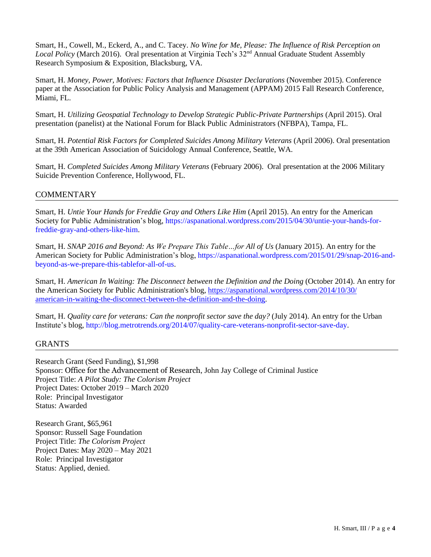Smart, H., Cowell, M., Eckerd, A., and C. Tacey. *No Wine for Me, Please: The Influence of Risk Perception on*  Local Policy (March 2016). Oral presentation at Virginia Tech's 32<sup>nd</sup> Annual Graduate Student Assembly Research Symposium & Exposition, Blacksburg, VA.

Smart, H. *Money, Power, Motives: Factors that Influence Disaster Declarations* (November 2015). Conference paper at the Association for Public Policy Analysis and Management (APPAM) 2015 Fall Research Conference, Miami, FL.

Smart, H. *Utilizing Geospatial Technology to Develop Strategic Public-Private Partnerships* (April 2015). Oral presentation (panelist) at the National Forum for Black Public Administrators (NFBPA), Tampa, FL.

Smart, H. *Potential Risk Factors for Completed Suicides Among Military Veterans* (April 2006). Oral presentation at the 39th American Association of Suicidology Annual Conference, Seattle, WA.

Smart, H. *Completed Suicides Among Military Veterans* (February 2006). Oral presentation at the 2006 Military Suicide Prevention Conference, Hollywood, FL.

# **COMMENTARY**

٦

Smart, H. *Untie Your Hands for Freddie Gray and Others Like Him* (April 2015). An entry for the American Society for Public Administration's blog, [https://aspanational.wordpress.com/2015/04/30/untie-your-hands-for](https://aspanational.wordpress.com/2015/04/30/untie-your-hands-for-freddie-gray-and-others-like-him)[freddie-gray-and-others-like-him.](https://aspanational.wordpress.com/2015/04/30/untie-your-hands-for-freddie-gray-and-others-like-him)

Smart, H. *SNAP 2016 and Beyond: As We Prepare This Table…for All of Us* (January 2015). An entry for the American Society for Public Administration's blog, [https://aspanational.wordpress.com/2015/01/29/snap-2016-and](https://aspanational.wordpress.com/2015/01/29/snap-2016-and-beyond-as-we-prepare-this-tablefor-all-of-us)[beyond-as-we-prepare-this-tablefor-all-of-us.](https://aspanational.wordpress.com/2015/01/29/snap-2016-and-beyond-as-we-prepare-this-tablefor-all-of-us)

Smart, H. *American In Waiting: The Disconnect between the Definition and the Doing* (October 2014). An entry for the American Society for Public Administration's blog,<https://aspanational.wordpress.com/2014/10/30/> [american-in-waiting-the-disconnect-between-the-definition-and-the-doing.](https://aspanational.wordpress.com/2014/10/30/)

Smart, H. *[Quality care for veterans: Can the nonprofit sector save the day?](http://blog.metrotrends.org/2014/07/quality-care-veterans-nonprofit-sector-save-day/)* (July 2014). An entry for the Urban Institute's blog, [http://blog.metrotrends.org/2014/07/quality-care-veterans-nonprofit-sector-save-day.](http://blog.metrotrends.org/2014/07/quality-care-veterans-nonprofit-sector-save-day)

### GRANTS

٦

Research Grant (Seed Funding), \$1,998 Sponsor: Office for the Advancement of Research, John Jay College of Criminal Justice Project Title: *A Pilot Study: The Colorism Project* Project Dates: October 2019 – March 2020 Role: Principal Investigator Status: Awarded

Research Grant, \$65,961 Sponsor: Russell Sage Foundation Project Title: *The Colorism Project* Project Dates: May 2020 – May 2021 Role: Principal Investigator Status: Applied, denied.